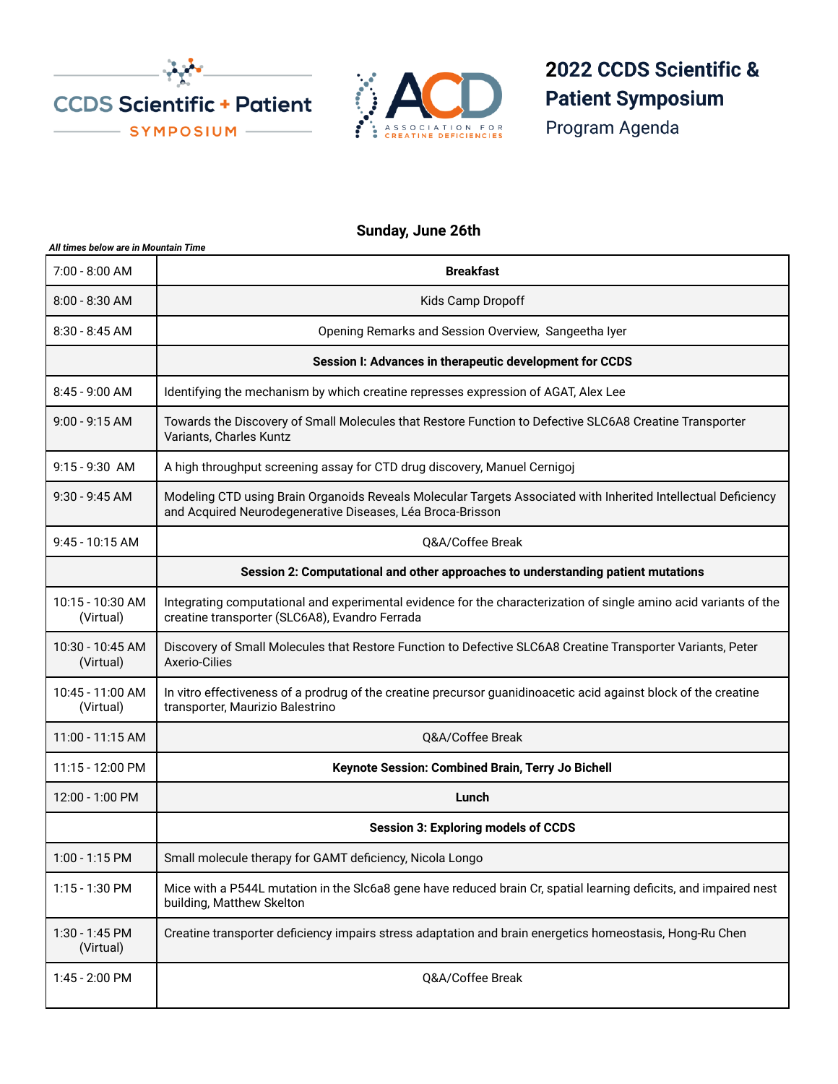



## 2022 CCDS Scientific & **Patient Symposium**

Program Agenda

## **Sunday, June 26th**

| All times below are in Mountain Time |                                                                                                                                                                              |
|--------------------------------------|------------------------------------------------------------------------------------------------------------------------------------------------------------------------------|
| 7:00 - 8:00 AM                       | <b>Breakfast</b>                                                                                                                                                             |
| $8:00 - 8:30$ AM                     | Kids Camp Dropoff                                                                                                                                                            |
| $8:30 - 8:45$ AM                     | Opening Remarks and Session Overview, Sangeetha Iyer                                                                                                                         |
|                                      | Session I: Advances in therapeutic development for CCDS                                                                                                                      |
| 8:45 - 9:00 AM                       | Identifying the mechanism by which creatine represses expression of AGAT, Alex Lee                                                                                           |
| 9:00 - 9:15 AM                       | Towards the Discovery of Small Molecules that Restore Function to Defective SLC6A8 Creatine Transporter<br>Variants, Charles Kuntz                                           |
| $9:15 - 9:30$ AM                     | A high throughput screening assay for CTD drug discovery, Manuel Cernigoj                                                                                                    |
| 9:30 - 9:45 AM                       | Modeling CTD using Brain Organoids Reveals Molecular Targets Associated with Inherited Intellectual Deficiency<br>and Acquired Neurodegenerative Diseases, Léa Broca-Brisson |
| 9:45 - 10:15 AM                      | <b>O&amp;A/Coffee Break</b>                                                                                                                                                  |
|                                      | Session 2: Computational and other approaches to understanding patient mutations                                                                                             |
| 10:15 - 10:30 AM<br>(Virtual)        | Integrating computational and experimental evidence for the characterization of single amino acid variants of the<br>creatine transporter (SLC6A8), Evandro Ferrada          |
| 10:30 - 10:45 AM<br>(Virtual)        | Discovery of Small Molecules that Restore Function to Defective SLC6A8 Creatine Transporter Variants, Peter<br>Axerio-Cilies                                                 |
| 10:45 - 11:00 AM<br>(Virtual)        | In vitro effectiveness of a prodrug of the creatine precursor guanidinoacetic acid against block of the creatine<br>transporter, Maurizio Balestrino                         |
| 11:00 - 11:15 AM                     | Q&A/Coffee Break                                                                                                                                                             |
| 11:15 - 12:00 PM                     | Keynote Session: Combined Brain, Terry Jo Bichell                                                                                                                            |
| 12:00 - 1:00 PM                      | Lunch                                                                                                                                                                        |
|                                      | <b>Session 3: Exploring models of CCDS</b>                                                                                                                                   |
| 1:00 - 1:15 PM                       | Small molecule therapy for GAMT deficiency, Nicola Longo                                                                                                                     |
| 1:15 - 1:30 PM                       | Mice with a P544L mutation in the SIc6a8 gene have reduced brain Cr, spatial learning deficits, and impaired nest<br>building, Matthew Skelton                               |
| 1:30 - 1:45 PM<br>(Virtual)          | Creatine transporter deficiency impairs stress adaptation and brain energetics homeostasis, Hong-Ru Chen                                                                     |
| 1:45 - 2:00 PM                       | Q&A/Coffee Break                                                                                                                                                             |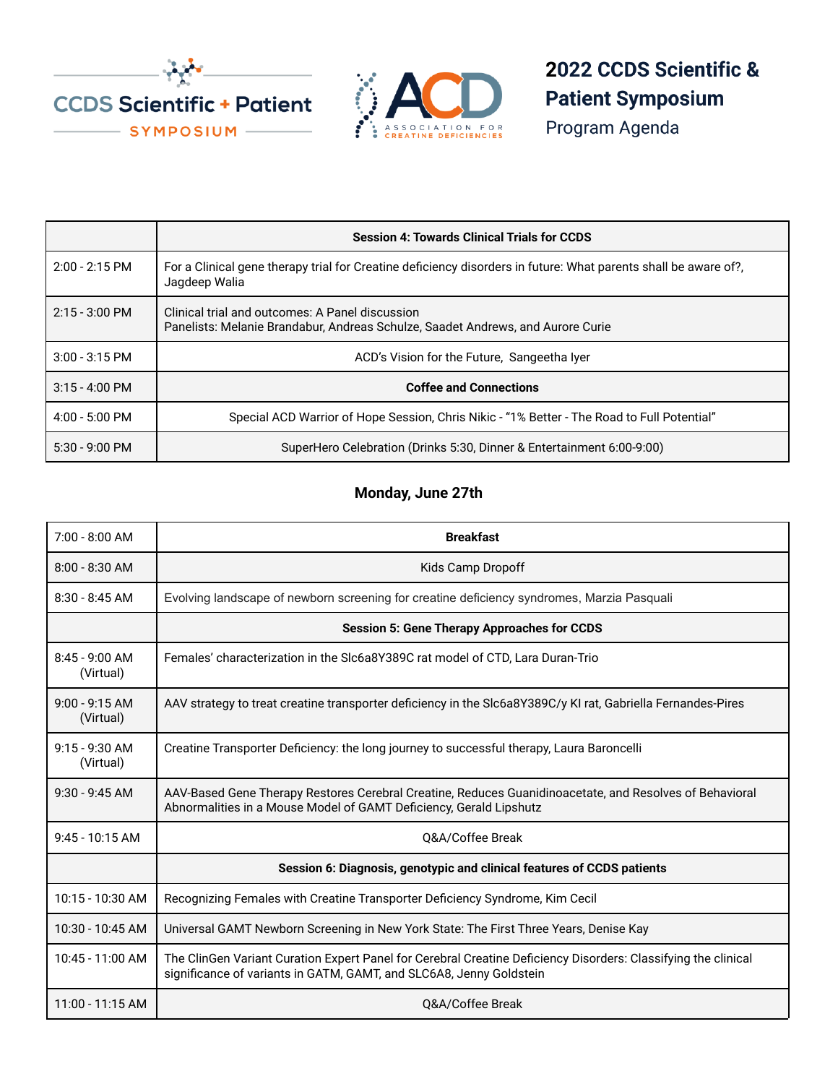



2022 CCDS Scientific & **Patient Symposium** 

Program Agenda

|                          | <b>Session 4: Towards Clinical Trials for CCDS</b>                                                                                 |
|--------------------------|------------------------------------------------------------------------------------------------------------------------------------|
| $2:00 - 2:15$ PM         | For a Clinical gene therapy trial for Creatine deficiency disorders in future: What parents shall be aware of?,<br>Jagdeep Walia   |
| $2:15 - 3:00 \text{ PM}$ | Clinical trial and outcomes: A Panel discussion<br>Panelists: Melanie Brandabur, Andreas Schulze, Saadet Andrews, and Aurore Curie |
| $3:00 - 3:15$ PM         | ACD's Vision for the Future, Sangeetha Iver                                                                                        |
| $3:15 - 4:00$ PM         | <b>Coffee and Connections</b>                                                                                                      |
| $4:00 - 5:00$ PM         | Special ACD Warrior of Hope Session, Chris Nikic - "1% Better - The Road to Full Potential"                                        |
| $5:30 - 9:00$ PM         | SuperHero Celebration (Drinks 5:30, Dinner & Entertainment 6:00-9:00)                                                              |

## **Monday, June 27th**

| $7:00 - 8:00 AM$              | <b>Breakfast</b>                                                                                                                                                                      |
|-------------------------------|---------------------------------------------------------------------------------------------------------------------------------------------------------------------------------------|
| $8:00 - 8:30$ AM              | Kids Camp Dropoff                                                                                                                                                                     |
| $8:30 - 8:45$ AM              | Evolving landscape of newborn screening for creatine deficiency syndromes, Marzia Pasquali                                                                                            |
|                               | <b>Session 5: Gene Therapy Approaches for CCDS</b>                                                                                                                                    |
| $8:45 - 9:00$ AM<br>(Virtual) | Females' characterization in the SIc6a8Y389C rat model of CTD, Lara Duran-Trio                                                                                                        |
| $9:00 - 9:15 AM$<br>(Virtual) | AAV strategy to treat creatine transporter deficiency in the Slc6a8Y389C/y KI rat, Gabriella Fernandes-Pires                                                                          |
| $9:15 - 9:30$ AM<br>(Virtual) | Creatine Transporter Deficiency: the long journey to successful therapy, Laura Baroncelli                                                                                             |
| $9:30 - 9:45$ AM              | AAV-Based Gene Therapy Restores Cerebral Creatine, Reduces Guanidinoacetate, and Resolves of Behavioral<br>Abnormalities in a Mouse Model of GAMT Deficiency, Gerald Lipshutz         |
| $9:45 - 10:15$ AM             | <b>O&amp;A/Coffee Break</b>                                                                                                                                                           |
|                               | Session 6: Diagnosis, genotypic and clinical features of CCDS patients                                                                                                                |
| 10:15 - 10:30 AM              | Recognizing Females with Creatine Transporter Deficiency Syndrome, Kim Cecil                                                                                                          |
| 10:30 - 10:45 AM              | Universal GAMT Newborn Screening in New York State: The First Three Years, Denise Kay                                                                                                 |
| 10:45 - 11:00 AM              | The ClinGen Variant Curation Expert Panel for Cerebral Creatine Deficiency Disorders: Classifying the clinical<br>significance of variants in GATM, GAMT, and SLC6A8, Jenny Goldstein |
| 11:00 - 11:15 AM              | <b>O&amp;A/Coffee Break</b>                                                                                                                                                           |